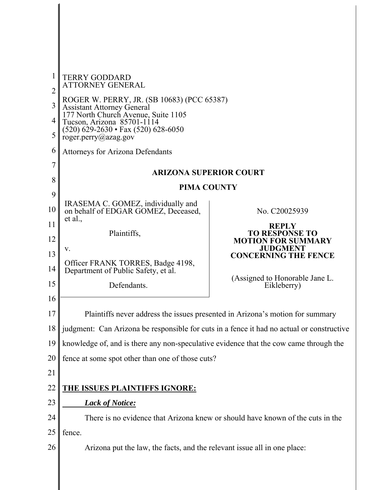| $\mathbf{1}$<br>$\overline{2}$<br>3<br>4 | <b>TERRY GODDARD</b><br><b>ATTORNEY GENERAL</b><br>ROGER W. PERRY, JR. (SB 10683) (PCC 65387)<br><b>Assistant Attorney General</b><br>177 North Church Avenue, Suite 1105<br>Tucson, Arizona 85701-1114 |                                                                                                 |
|------------------------------------------|---------------------------------------------------------------------------------------------------------------------------------------------------------------------------------------------------------|-------------------------------------------------------------------------------------------------|
| 5<br>6                                   | (520) 629-2630 · Fax (520) 628-6050<br>roger.perry@azag.gov                                                                                                                                             |                                                                                                 |
| 7                                        | <b>Attorneys for Arizona Defendants</b>                                                                                                                                                                 |                                                                                                 |
|                                          | <b>ARIZONA SUPERIOR COURT</b>                                                                                                                                                                           |                                                                                                 |
| 8<br>9                                   | <b>PIMA COUNTY</b>                                                                                                                                                                                      |                                                                                                 |
| 10                                       | IRASEMA C. GOMEZ, individually and<br>on behalf of EDGAR GOMEZ, Deceased,                                                                                                                               | No. C20025939                                                                                   |
| 11<br>12                                 | et al.,<br>Plaintiffs,                                                                                                                                                                                  | <b>REPLY</b><br><b>TO RESPONSE TO</b><br><b>MOTION FOR SUMMARY</b>                              |
| 13<br>14<br>15                           | v.<br>Officer FRANK TORRES, Badge 4198,<br>Department of Public Safety, et al.<br>Defendants.                                                                                                           | <b>JUDGMENT</b><br><b>CONCERNING THE FENCE</b><br>(Assigned to Honorable Jane L.<br>Eikleberry) |
| 16<br>17                                 |                                                                                                                                                                                                         | Plaintiffs never address the issues presented in Arizona's motion for summary                   |
| 18                                       | judgment: Can Arizona be responsible for cuts in a fence it had no actual or constructive                                                                                                               |                                                                                                 |
| 19                                       | knowledge of, and is there any non-speculative evidence that the cow came through the                                                                                                                   |                                                                                                 |
| 20                                       | fence at some spot other than one of those cuts?                                                                                                                                                        |                                                                                                 |
| 21                                       |                                                                                                                                                                                                         |                                                                                                 |
| 22                                       | <b>THE ISSUES PLAINTIFFS IGNORE:</b>                                                                                                                                                                    |                                                                                                 |
| 23                                       | <b>Lack of Notice:</b>                                                                                                                                                                                  |                                                                                                 |
| 24                                       | There is no evidence that Arizona knew or should have known of the cuts in the                                                                                                                          |                                                                                                 |
| 25                                       | fence.                                                                                                                                                                                                  |                                                                                                 |
| 26                                       | Arizona put the law, the facts, and the relevant issue all in one place:                                                                                                                                |                                                                                                 |
|                                          |                                                                                                                                                                                                         |                                                                                                 |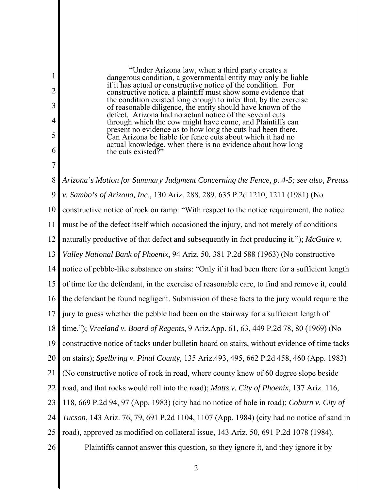"Under Arizona law, when a third party creates a dangerous condition, a governmental entity may only be liable if it has actual or constructive notice of the condition. For constructive notice, a plaintiff must show some evidence that the condition existed long enough to infer that, by the exercise of reasonable diligence, the entity should have known of the defect. Arizona had no actual notice of the several cuts through which the cow might have come, and Plaintiffs can present no evidence as to how long the cuts had been there. Can Arizona be liable for fence cuts about which it had no actual knowledge, when there is no evidence about how long the cuts existed?"

1

2

3

4

5

6

7

8 9 10 11 12 13 14 15 16 17 18 19 20 21 22 23 24 25 26 *Arizona's Motion for Summary Judgment Concerning the Fence, p. 4-5; see also, Preuss v. Sambo's of Arizona, Inc*., 130 Ariz. 288, 289, 635 P.2d 1210, 1211 (1981) (No constructive notice of rock on ramp: "With respect to the notice requirement, the notice must be of the defect itself which occasioned the injury, and not merely of conditions naturally productive of that defect and subsequently in fact producing it."); *McGuire v. Valley National Bank of Phoenix*, 94 Ariz. 50, 381 P.2d 588 (1963) (No constructive notice of pebble-like substance on stairs: "Only if it had been there for a sufficient length of time for the defendant, in the exercise of reasonable care, to find and remove it, could the defendant be found negligent. Submission of these facts to the jury would require the jury to guess whether the pebble had been on the stairway for a sufficient length of time."); *Vreeland v. Board of Regents*, 9 Ariz.App. 61, 63, 449 P.2d 78, 80 (1969) (No constructive notice of tacks under bulletin board on stairs, without evidence of time tacks on stairs); *Spelbring v. Pinal County,* 135 Ariz.493, 495, 662 P.2d 458, 460 (App. 1983) (No constructive notice of rock in road, where county knew of 60 degree slope beside road, and that rocks would roll into the road); *Matts v. City of Phoenix*, 137 Ariz. 116, 118, 669 P.2d 94, 97 (App. 1983) (city had no notice of hole in road); *Coburn v. City of Tucson*, 143 Ariz. 76, 79, 691 P.2d 1104, 1107 (App. 1984) (city had no notice of sand in road), approved as modified on collateral issue, 143 Ariz. 50, 691 P.2d 1078 (1984). Plaintiffs cannot answer this question, so they ignore it, and they ignore it by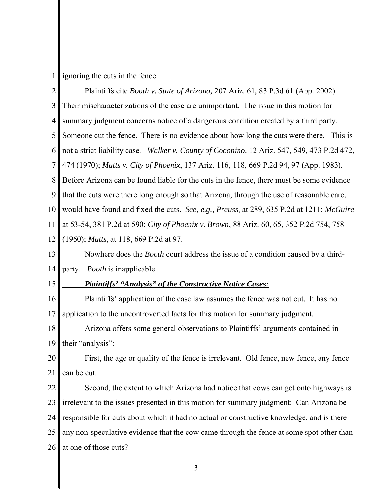2 3 4 5 6 7 8 9 10 11 12 13 14 15 Plaintiffs cite *Booth v. State of Arizona,* 207 Ariz. 61, 83 P.3d 61 (App. 2002). Their mischaracterizations of the case are unimportant. The issue in this motion for summary judgment concerns notice of a dangerous condition created by a third party. Someone cut the fence. There is no evidence about how long the cuts were there. This is not a strict liability case. *Walker v. County of Coconino,* 12 Ariz. 547, 549, 473 P.2d 472, 474 (1970); *Matts v. City of Phoenix*, 137 Ariz. 116, 118, 669 P.2d 94, 97 (App. 1983). Before Arizona can be found liable for the cuts in the fence, there must be some evidence that the cuts were there long enough so that Arizona, through the use of reasonable care, would have found and fixed the cuts. *See, e.g., Preuss*, at 289, 635 P.2d at 1211; *McGuire*  at 53-54, 381 P.2d at 590; *City of Phoenix v. Brown*, 88 Ariz. 60, 65, 352 P.2d 754, 758 (1960); *Matts*, at 118, 669 P.2d at 97. Nowhere does the *Booth* court address the issue of a condition caused by a thirdparty. *Booth* is inapplicable.  *Plaintiffs' "Analysis" of the Constructive Notice Cases:* 

16 17 Plaintiffs' application of the case law assumes the fence was not cut. It has no application to the uncontroverted facts for this motion for summary judgment.

18 19 Arizona offers some general observations to Plaintiffs' arguments contained in their "analysis":

20 21 First, the age or quality of the fence is irrelevant. Old fence, new fence, any fence can be cut.

22 23 24 25 26 Second, the extent to which Arizona had notice that cows can get onto highways is irrelevant to the issues presented in this motion for summary judgment: Can Arizona be responsible for cuts about which it had no actual or constructive knowledge, and is there any non-speculative evidence that the cow came through the fence at some spot other than at one of those cuts?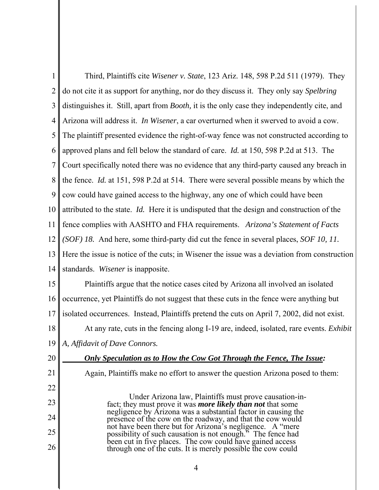| 1              | Third, Plaintiffs cite Wisener v. State, 123 Ariz. 148, 598 P.2d 511 (1979). They                                            |
|----------------|------------------------------------------------------------------------------------------------------------------------------|
| $\overline{2}$ | do not cite it as support for anything, nor do they discuss it. They only say Spelbring                                      |
| 3              | distinguishes it. Still, apart from <i>Booth</i> , it is the only case they independently cite, and                          |
| 4              | Arizona will address it. In Wisener, a car overturned when it swerved to avoid a cow.                                        |
| 5              | The plaintiff presented evidence the right-of-way fence was not constructed according to                                     |
| 6              | approved plans and fell below the standard of care. <i>Id.</i> at 150, 598 P.2d at 513. The                                  |
| 7              | Court specifically noted there was no evidence that any third-party caused any breach in                                     |
| 8              | the fence. Id. at 151, 598 P.2d at 514. There were several possible means by which the                                       |
| 9              | cow could have gained access to the highway, any one of which could have been                                                |
| 10             | attributed to the state. Id. Here it is undisputed that the design and construction of the                                   |
| 11             | fence complies with AASHTO and FHA requirements. Arizona's Statement of Facts                                                |
| $12 \parallel$ | (SOF) 18. And here, some third-party did cut the fence in several places, SOF 10, 11.                                        |
| 13             | Here the issue is notice of the cuts; in Wisener the issue was a deviation from construction                                 |
| 14             | standards. Wisener is inapposite.                                                                                            |
| 15             | Plaintiffs argue that the notice cases cited by Arizona all involved an isolated                                             |
| 16             | occurrence, yet Plaintiffs do not suggest that these cuts in the fence were anything but                                     |
| 17             | isolated occurrences. Instead, Plaintiffs pretend the cuts on April 7, 2002, did not exist.                                  |
| 18             | At any rate, cuts in the fencing along I-19 are, indeed, isolated, rare events. <i>Exhibit</i>                               |
|                | 19    A, Affidavit of Dave Connors.                                                                                          |
| 20             | Only Speculation as to How the Cow Got Through the Fence, The Issue:                                                         |
| 21             | Again, Plaintiffs make no effort to answer the question Arizona posed to them:                                               |
| 22             |                                                                                                                              |
| 23             | Under Arizona law, Plaintiffs must prove causation-in-<br>fact; they must prove it was <i>more likely than not</i> that some |
| 24             | negligence by Arizona was a substantial factor in causing the<br>presence of the cow on the roadway, and that the cow would  |
| 25             | not have been there but for Arizona's negligence. A "mere<br>possibility of such causation is not enough." The fence had     |
| 26             | been cut in five places. The cow could have gained access<br>through one of the cuts. It is merely possible the cow could    |
|                |                                                                                                                              |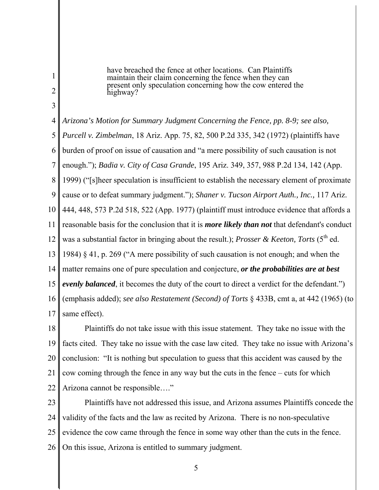have breached the fence at other locations. Can Plaintiffs maintain their claim concerning the fence when they can present only speculation concerning how the cow entered the highway?

1

2

3

4 5 6 7 8 9 10 11 12 13 14 15 16 17 *Arizona's Motion for Summary Judgment Concerning the Fence, pp. 8-9; see also, Purcell v. Zimbelman*, 18 Ariz. App. 75, 82, 500 P.2d 335, 342 (1972) (plaintiffs have burden of proof on issue of causation and "a mere possibility of such causation is not enough."); *Badia v. City of Casa Grande*, 195 Ariz. 349, 357, 988 P.2d 134, 142 (App. 1999) ("[s]heer speculation is insufficient to establish the necessary element of proximate cause or to defeat summary judgment."); *Shaner v. Tucson Airport Auth., Inc.,* 117 Ariz. 444, 448, 573 P.2d 518, 522 (App. 1977) (plaintiff must introduce evidence that affords a reasonable basis for the conclusion that it is *more likely than not* that defendant's conduct was a substantial factor in bringing about the result.); *Prosser & Keeton, Torts* (5<sup>th</sup> ed. 1984) § 41, p. 269 ("A mere possibility of such causation is not enough; and when the matter remains one of pure speculation and conjecture, *or the probabilities are at best evenly balanced*, it becomes the duty of the court to direct a verdict for the defendant.") (emphasis added); *see also Restatement (Second) of Torts* § 433B, cmt a, at 442 (1965) (to same effect).

18 19 20 21 22 Plaintiffs do not take issue with this issue statement. They take no issue with the facts cited. They take no issue with the case law cited. They take no issue with Arizona's conclusion: "It is nothing but speculation to guess that this accident was caused by the cow coming through the fence in any way but the cuts in the fence – cuts for which Arizona cannot be responsible…."

23 24 25 26 Plaintiffs have not addressed this issue, and Arizona assumes Plaintiffs concede the validity of the facts and the law as recited by Arizona. There is no non-speculative evidence the cow came through the fence in some way other than the cuts in the fence. On this issue, Arizona is entitled to summary judgment.

 $\sim$  5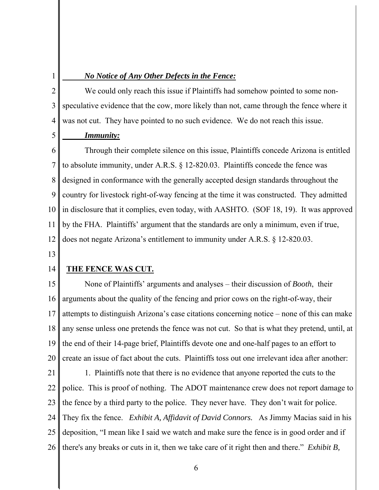## *No Notice of Any Other Defects in the Fence:*

2 3 4 We could only reach this issue if Plaintiffs had somehow pointed to some nonspeculative evidence that the cow, more likely than not, came through the fence where it was not cut. They have pointed to no such evidence. We do not reach this issue.

### *Immunity:*

6 7 8 9 10 11 12 Through their complete silence on this issue, Plaintiffs concede Arizona is entitled to absolute immunity, under A.R.S. § 12-820.03. Plaintiffs concede the fence was designed in conformance with the generally accepted design standards throughout the country for livestock right-of-way fencing at the time it was constructed. They admitted in disclosure that it complies, even today, with AASHTO. (SOF 18, 19). It was approved by the FHA. Plaintiffs' argument that the standards are only a minimum, even if true, does not negate Arizona's entitlement to immunity under A.R.S. § 12-820.03.

13

1

5

#### 14 **THE FENCE WAS CUT***.*

15 16 17 18 19 20 None of Plaintiffs' arguments and analyses – their discussion of *Booth*, their arguments about the quality of the fencing and prior cows on the right-of-way, their attempts to distinguish Arizona's case citations concerning notice – none of this can make any sense unless one pretends the fence was not cut. So that is what they pretend, until, at the end of their 14-page brief, Plaintiffs devote one and one-half pages to an effort to create an issue of fact about the cuts. Plaintiffs toss out one irrelevant idea after another:

21 22 23 24 25 26 1. Plaintiffs note that there is no evidence that anyone reported the cuts to the police. This is proof of nothing. The ADOT maintenance crew does not report damage to the fence by a third party to the police. They never have. They don't wait for police. They fix the fence. *Exhibit A, Affidavit of David Connors.* As Jimmy Macias said in his deposition, "I mean like I said we watch and make sure the fence is in good order and if there's any breaks or cuts in it, then we take care of it right then and there." *Exhibit B,*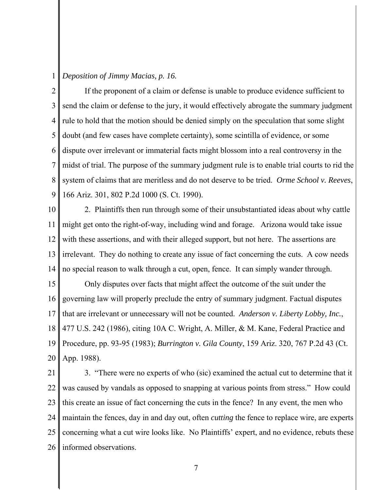### 1 *Deposition of Jimmy Macias, p. 16.*

2 3 4 5 6 7 8 9 If the proponent of a claim or defense is unable to produce evidence sufficient to send the claim or defense to the jury, it would effectively abrogate the summary judgment rule to hold that the motion should be denied simply on the speculation that some slight doubt (and few cases have complete certainty), some scintilla of evidence, or some dispute over irrelevant or immaterial facts might blossom into a real controversy in the midst of trial. The purpose of the summary judgment rule is to enable trial courts to rid the system of claims that are meritless and do not deserve to be tried. *Orme School v. Reeves*, 166 Ariz. 301, 802 P.2d 1000 (S. Ct. 1990).

10 11 12 13 14 2. Plaintiffs then run through some of their unsubstantiated ideas about why cattle might get onto the right-of-way, including wind and forage. Arizona would take issue with these assertions, and with their alleged support, but not here. The assertions are irrelevant. They do nothing to create any issue of fact concerning the cuts. A cow needs no special reason to walk through a cut, open, fence. It can simply wander through.

15 16 17 18 19 20 Only disputes over facts that might affect the outcome of the suit under the governing law will properly preclude the entry of summary judgment. Factual disputes that are irrelevant or unnecessary will not be counted. *Anderson v. Liberty Lobby, Inc.*, 477 U.S. 242 (1986), citing 10A C. Wright, A. Miller, & M. Kane, Federal Practice and Procedure, pp. 93-95 (1983); *Burrington v. Gila County*, 159 Ariz. 320, 767 P.2d 43 (Ct. App. 1988).

21 22 23 24 25 26 3. "There were no experts of who (sic) examined the actual cut to determine that it was caused by vandals as opposed to snapping at various points from stress." How could this create an issue of fact concerning the cuts in the fence? In any event, the men who maintain the fences, day in and day out, often *cutting* the fence to replace wire, are experts concerning what a cut wire looks like. No Plaintiffs' expert, and no evidence, rebuts these informed observations.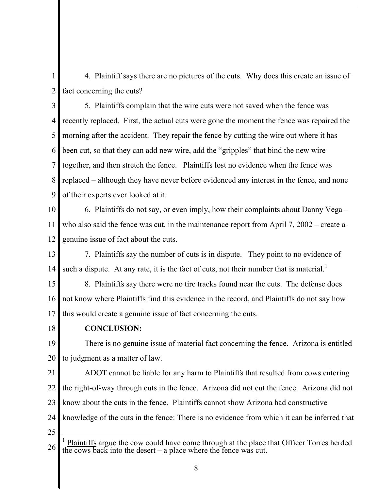1 2 4. Plaintiff says there are no pictures of the cuts. Why does this create an issue of fact concerning the cuts?

3 4 5 6 7 8 9 5. Plaintiffs complain that the wire cuts were not saved when the fence was recently replaced. First, the actual cuts were gone the moment the fence was repaired the morning after the accident. They repair the fence by cutting the wire out where it has been cut, so that they can add new wire, add the "gripples" that bind the new wire together, and then stretch the fence. Plaintiffs lost no evidence when the fence was replaced – although they have never before evidenced any interest in the fence, and none of their experts ever looked at it.

10 11 12 6. Plaintiffs do not say, or even imply, how their complaints about Danny Vega – who also said the fence was cut, in the maintenance report from April 7, 2002 – create a genuine issue of fact about the cuts.

13 14 7. Plaintiffs say the number of cuts is in dispute. They point to no evidence of such a dispute. At any rate, it is the fact of cuts, not their number that is material.<sup>1</sup>

15 16 17 8. Plaintiffs say there were no tire tracks found near the cuts. The defense does not know where Plaintiffs find this evidence in the record, and Plaintiffs do not say how this would create a genuine issue of fact concerning the cuts.

18

# **CONCLUSION:**

19 20 There is no genuine issue of material fact concerning the fence. Arizona is entitled to judgment as a matter of law.

21 22 23 24 ADOT cannot be liable for any harm to Plaintiffs that resulted from cows entering the right-of-way through cuts in the fence. Arizona did not cut the fence. Arizona did not know about the cuts in the fence. Plaintiffs cannot show Arizona had constructive knowledge of the cuts in the fence: There is no evidence from which it can be inferred that

<sup>26</sup>  $\overline{1}$ 1 Plaintiffs argue the cow could have come through at the place that Officer Torres herded the cows back into the desert – a place where the fence was cut.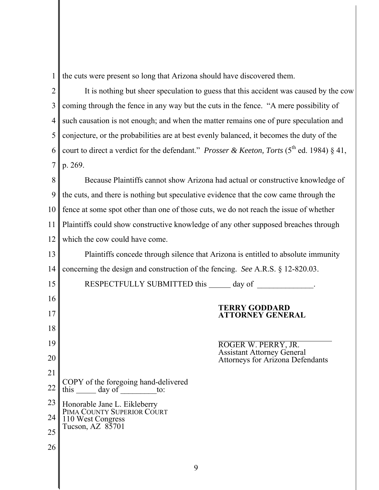1 the cuts were present so long that Arizona should have discovered them.

2 3 4 5 6 7 It is nothing but sheer speculation to guess that this accident was caused by the cow coming through the fence in any way but the cuts in the fence. "A mere possibility of such causation is not enough; and when the matter remains one of pure speculation and conjecture, or the probabilities are at best evenly balanced, it becomes the duty of the court to direct a verdict for the defendant." *Prosser & Keeton, Torts* (5<sup>th</sup> ed. 1984) § 41, p. 269.

8 9 10 11 12 Because Plaintiffs cannot show Arizona had actual or constructive knowledge of the cuts, and there is nothing but speculative evidence that the cow came through the fence at some spot other than one of those cuts, we do not reach the issue of whether Plaintiffs could show constructive knowledge of any other supposed breaches through which the cow could have come.

13 14 Plaintiffs concede through silence that Arizona is entitled to absolute immunity concerning the design and construction of the fencing. *See* A.R.S. § 12-820.03.

15 16 17 18 19 20 21 22 23 24 25 26 RESPECTFULLY SUBMITTED this \_\_\_\_\_\_\_ day of **TERRY GODDARD ATTORNEY GENERAL**   $\ddot{\phantom{a}}$ ROGER W. PERRY, JR. Assistant Attorney General Attorneys for Arizona Defendants COPY of the foregoing hand-delivered this  $\_\_\_\_\$  day of  $\_\_\_\_\$ to: Honorable Jane L. Eikleberry PIMA COUNTY SUPERIOR COURT 110 West Congress Tucson, AZ 85701